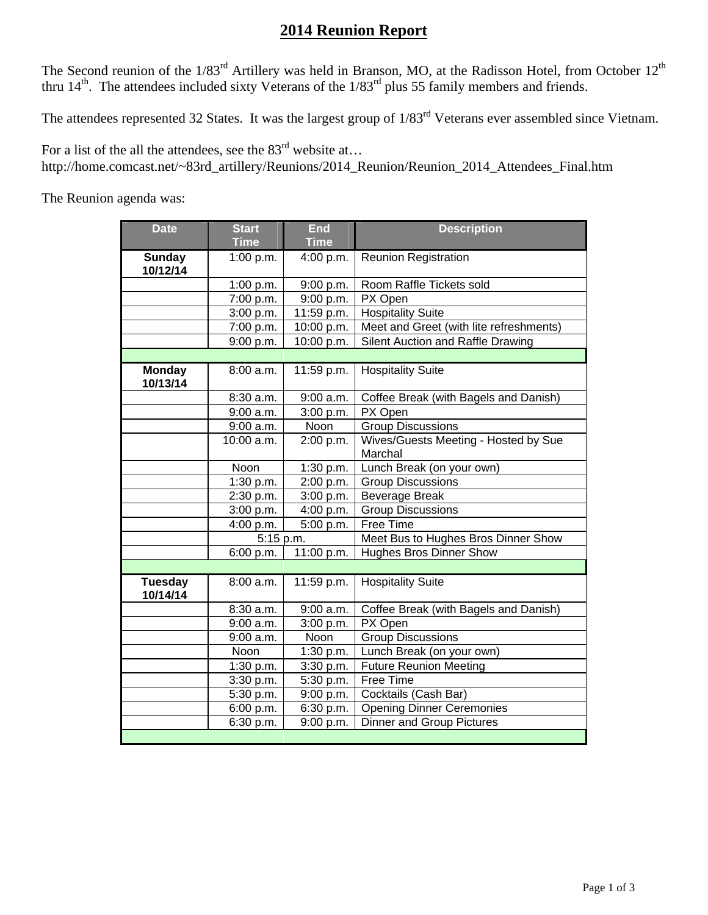## **2014 Reunion Report**

The Second reunion of the  $1/83^{rd}$  Artillery was held in Branson, MO, at the Radisson Hotel, from October  $12^{th}$ thru  $14<sup>th</sup>$ . The attendees included sixty Veterans of the  $1/83<sup>rd</sup>$  plus 55 family members and friends.

The attendees represented 32 States. It was the largest group of  $1/83<sup>rd</sup>$  Veterans ever assembled since Vietnam.

For a list of the all the attendees, see the  $83<sup>rd</sup>$  website at... http://home.comcast.net/~83rd\_artillery/Reunions/2014\_Reunion/Reunion\_2014\_Attendees\_Final.htm

The Reunion agenda was:

| <b>Date</b>                | <b>Start</b><br><b>Time</b> | <b>End</b><br><b>Time</b> | <b>Description</b>                              |
|----------------------------|-----------------------------|---------------------------|-------------------------------------------------|
| <b>Sunday</b><br>10/12/14  | 1:00 p.m.                   | 4:00 p.m.                 | <b>Reunion Registration</b>                     |
|                            | 1:00 p.m.                   | 9:00 p.m.                 | Room Raffle Tickets sold                        |
|                            | 7:00 p.m.                   | 9:00 p.m.                 | PX Open                                         |
|                            | 3:00 p.m.                   | 11:59 p.m.                | <b>Hospitality Suite</b>                        |
|                            | 7:00 p.m.                   | 10:00 p.m.                | Meet and Greet (with lite refreshments)         |
|                            | 9:00 p.m.                   | 10:00 p.m.                | Silent Auction and Raffle Drawing               |
|                            |                             |                           |                                                 |
| <b>Monday</b><br>10/13/14  | 8:00 a.m.                   | 11:59 p.m.                | <b>Hospitality Suite</b>                        |
|                            | 8:30 a.m.                   | 9:00 a.m.                 | Coffee Break (with Bagels and Danish)           |
|                            | $9:00$ a.m.                 | 3:00 p.m.                 | PX Open                                         |
|                            | 9:00 a.m.                   | <b>Noon</b>               | <b>Group Discussions</b>                        |
|                            | 10:00 a.m.                  | 2:00 p.m.                 | Wives/Guests Meeting - Hosted by Sue<br>Marchal |
|                            | Noon                        | 1:30 p.m.                 | Lunch Break (on your own)                       |
|                            | 1:30 p.m.                   | 2:00 p.m.                 | <b>Group Discussions</b>                        |
|                            | 2:30 p.m.                   | 3:00 p.m.                 | <b>Beverage Break</b>                           |
|                            | 3:00 p.m.                   | 4:00 p.m.                 | <b>Group Discussions</b>                        |
|                            | 4:00 p.m.                   | 5:00 p.m.                 | Free Time                                       |
|                            | 5:15 p.m.                   |                           | Meet Bus to Hughes Bros Dinner Show             |
|                            | 6:00 p.m.                   | 11:00 p.m.                | <b>Hughes Bros Dinner Show</b>                  |
|                            |                             |                           |                                                 |
| <b>Tuesday</b><br>10/14/14 | 8:00 a.m.                   | 11:59 p.m.                | <b>Hospitality Suite</b>                        |
|                            | 8:30 a.m.                   | 9:00 a.m.                 | Coffee Break (with Bagels and Danish)           |
|                            | $9:00$ a.m.                 | 3:00 p.m.                 | PX Open                                         |
|                            | 9:00 a.m.                   | Noon                      | <b>Group Discussions</b>                        |
|                            | Noon                        | 1:30 p.m.                 | Lunch Break (on your own)                       |
|                            | 1:30 p.m.                   | 3:30 p.m.                 | <b>Future Reunion Meeting</b>                   |
|                            | 3:30 p.m.                   | 5:30 p.m.                 | Free Time                                       |
|                            | 5:30 p.m.                   | 9:00 p.m.                 | Cocktails (Cash Bar)                            |
|                            | 6:00 p.m.                   | 6:30 p.m.                 | <b>Opening Dinner Ceremonies</b>                |
|                            | 6:30 p.m.                   | 9:00 p.m.                 | <b>Dinner and Group Pictures</b>                |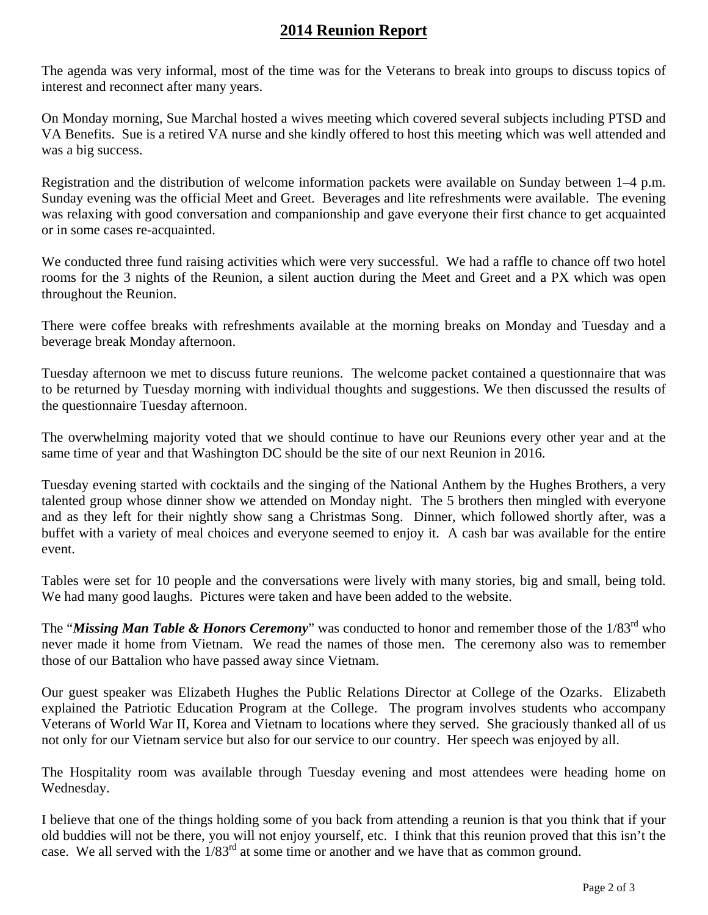## **2014 Reunion Report**

The agenda was very informal, most of the time was for the Veterans to break into groups to discuss topics of interest and reconnect after many years.

On Monday morning, Sue Marchal hosted a wives meeting which covered several subjects including PTSD and VA Benefits. Sue is a retired VA nurse and she kindly offered to host this meeting which was well attended and was a big success.

Registration and the distribution of welcome information packets were available on Sunday between 1–4 p.m. Sunday evening was the official Meet and Greet. Beverages and lite refreshments were available. The evening was relaxing with good conversation and companionship and gave everyone their first chance to get acquainted or in some cases re-acquainted.

We conducted three fund raising activities which were very successful. We had a raffle to chance off two hotel rooms for the 3 nights of the Reunion, a silent auction during the Meet and Greet and a PX which was open throughout the Reunion.

There were coffee breaks with refreshments available at the morning breaks on Monday and Tuesday and a beverage break Monday afternoon.

Tuesday afternoon we met to discuss future reunions. The welcome packet contained a questionnaire that was to be returned by Tuesday morning with individual thoughts and suggestions. We then discussed the results of the questionnaire Tuesday afternoon.

The overwhelming majority voted that we should continue to have our Reunions every other year and at the same time of year and that Washington DC should be the site of our next Reunion in 2016.

Tuesday evening started with cocktails and the singing of the National Anthem by the Hughes Brothers, a very talented group whose dinner show we attended on Monday night. The 5 brothers then mingled with everyone and as they left for their nightly show sang a Christmas Song. Dinner, which followed shortly after, was a buffet with a variety of meal choices and everyone seemed to enjoy it. A cash bar was available for the entire event.

Tables were set for 10 people and the conversations were lively with many stories, big and small, being told. We had many good laughs. Pictures were taken and have been added to the website.

The "*Missing Man Table & Honors Ceremony*" was conducted to honor and remember those of the 1/83<sup>rd</sup> who never made it home from Vietnam. We read the names of those men. The ceremony also was to remember those of our Battalion who have passed away since Vietnam.

Our guest speaker was Elizabeth Hughes the Public Relations Director at College of the Ozarks. Elizabeth explained the Patriotic Education Program at the College. The program involves students who accompany Veterans of World War II, Korea and Vietnam to locations where they served. She graciously thanked all of us not only for our Vietnam service but also for our service to our country. Her speech was enjoyed by all.

The Hospitality room was available through Tuesday evening and most attendees were heading home on Wednesday.

I believe that one of the things holding some of you back from attending a reunion is that you think that if your old buddies will not be there, you will not enjoy yourself, etc. I think that this reunion proved that this isn't the case. We all served with the 1/83rd at some time or another and we have that as common ground.